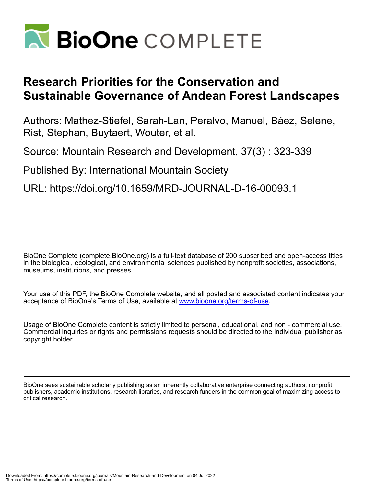

## **Research Priorities for the Conservation and Sustainable Governance of Andean Forest Landscapes**

Authors: Mathez-Stiefel, Sarah-Lan, Peralvo, Manuel, Báez, Selene, Rist, Stephan, Buytaert, Wouter, et al.

Source: Mountain Research and Development, 37(3) : 323-339

Published By: International Mountain Society

URL: https://doi.org/10.1659/MRD-JOURNAL-D-16-00093.1

BioOne Complete (complete.BioOne.org) is a full-text database of 200 subscribed and open-access titles in the biological, ecological, and environmental sciences published by nonprofit societies, associations, museums, institutions, and presses.

Your use of this PDF, the BioOne Complete website, and all posted and associated content indicates your acceptance of BioOne's Terms of Use, available at www.bioone.org/terms-of-use.

Usage of BioOne Complete content is strictly limited to personal, educational, and non - commercial use. Commercial inquiries or rights and permissions requests should be directed to the individual publisher as copyright holder.

BioOne sees sustainable scholarly publishing as an inherently collaborative enterprise connecting authors, nonprofit publishers, academic institutions, research libraries, and research funders in the common goal of maximizing access to critical research.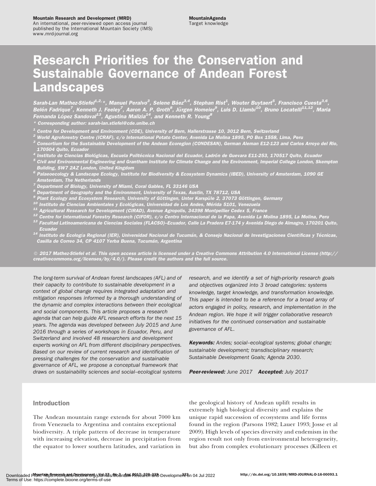#### Mountain Research and Development (MRD)

An international, peer-reviewed open access journal published by the International Mountain Society (IMS) www.mrd-journal.org

# Research Priorities for the Conservation and Sustainable Governance of Andean Forest Landscapes

Sarah-Lan Mathez-Stiefel<sup>1,2,</sup>\*, Manuel Peralvo<sup>3</sup>, Selene Báez<sup>3,4</sup>, Stephan Rist<sup>1</sup>, Wouter Buytaert<sup>5</sup>, Francisco Cuesta<sup>3,6</sup>, Belén Fadrique<sup>7</sup>, Kenneth J. Feeley<sup>7</sup>, Aaron A. P. Groth<sup>8</sup>, Jürgen Homeier<sup>9</sup>, Luis D. Llambi<sup>10</sup>, Bruno Locatelli<sup>11,12</sup>, Maria Fernanda López Sandoval<sup>13</sup>, Agustina Malizia<sup>14</sup>, and Kenneth R. Young<sup>8</sup>

- Corresponding author: [sarah-lan.stiefel@cde.unibe.ch](mailto:sarah-lan.stiefel@cde.unibe.ch)
- <sup>1</sup> Centre for Development and Environment (CDE), University of Bern, Hallerstrasse 10, 3012 Bern, Switzerland
- <sup>2</sup> World Agroforestry Centre (ICRAF), c/o International Potato Center, Avenida La Molina 1895, PO Box 1558, Lima, Peru
- <sup>3</sup> Consortium for the Sustainable Development of the Andean Ecoregion (CONDESAN), German Aleman E12-123 and Carlos Arroyo del Rio,
- 
- 170504 Quito, Ecuador<br><sup>4</sup> Instituto de Ciencias Biológicas, Escuela Politécnica Nacional del Ecuador, Ladrón de Guevara E11-253, 170517 Quito, Ecuador<br><sup>5</sup> Civil and Environmental Engineering and Grantham Institute for Cl
- Building, SW7 2AZ London, United Kingdom<br><sup>6</sup> Palaeoecology & Landscape Ecology, Institute for Biodiversity & Ecosystem Dynamics (IBED), University of Amsterdam, 1090 GE Amsterdam, The Netherlands
- $^7$  Department of Biology, University of Miami, Coral Gables, FL 33146 USA
- Department of Geography and the Environment, University of Texas, Austin, TX 78712, USA
- <sup>9</sup> Plant Ecology and Ecosystem Research, University of Göttingen, Unter Karspüle 2, 37073 Göttingen, Germany<br><sup>10</sup> Instituto de Ciencias Ambientales y Ecológicas, Universidad de Los Andes, Mérida 5101, Venezuela<br><sup>11</sup> Agric
- 
- 
- $^{12}$  Centre for International Forestry Research (CIFOR), c/o Centro Internacional de la Papa, Avenida La Molina 1895, La Molina, Peru
- <sup>13</sup> Facultad Latinoamericana de Ciencias Sociales (FLACSO)–Ecuador, Calle La Pradera E7-174 y Avenida Diego de Almagro, 170201 Quito, Ecuador
- <sup>14</sup> Instituto de Ecología Regional (IER), Universidad Nacional de Tucumán, & Consejo Nacional de Investigaciones Científicas y Técnicas, Casilla de Correo 34, CP 4107 Yerba Buena, Tucumán, Argentina

 $\,$  2017 Mathez-Stiefel et al. This open access article is licensed under a Creative Commons Attribution 4.0 International License [\(http://](http://creativecommons.org/licenses/by/4.0/) [creativecommons.org/licenses/by/4.0/](http://creativecommons.org/licenses/by/4.0/)). Please credit the authors and the full source.

The long-term survival of Andean forest landscapes (AFL) and of their capacity to contribute to sustainable development in a context of global change requires integrated adaptation and mitigation responses informed by a thorough understanding of the dynamic and complex interactions between their ecological and social components. This article proposes a research agenda that can help guide AFL research efforts for the next 15 years. The agenda was developed between July 2015 and June 2016 through a series of workshops in Ecuador, Peru, and Switzerland and involved 48 researchers and development experts working on AFL from different disciplinary perspectives. Based on our review of current research and identification of pressing challenges for the conservation and sustainable governance of AFL, we propose a conceptual framework that draws on sustainability sciences and social–ecological systems

research, and we identify a set of high-priority research goals and objectives organized into 3 broad categories: systems knowledge, target knowledge, and transformation knowledge. This paper is intended to be a reference for a broad array of actors engaged in policy, research, and implementation in the Andean region. We hope it will trigger collaborative research initiatives for the continued conservation and sustainable governance of AFL.

Keywords: Andes; social-ecological systems; global change; sustainable development; transdisciplinary research; Sustainable Development Goals; Agenda 2030.

Peer-reviewed: June 2017 Accepted: July 2017

## Introduction

The Andean mountain range extends for about 7000 km from Venezuela to Argentina and contains exceptional biodiversity. A triple pattern of decrease in temperature with increasing elevation, decrease in precipitation from the equator to lower southern latitudes, and variation in

the geological history of Andean uplift results in extremely high biological diversity and explains the unique rapid succession of ecosystems and life forms found in the region (Parsons 1982; Lauer 1993; Josse et al 2009). High levels of species diversity and endemism in the region result not only from environmental heterogeneity, but also from complex evolutionary processes (Killeen et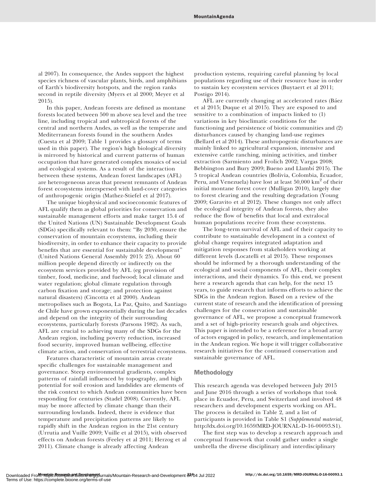al 2007). In consequence, the Andes support the highest species richness of vascular plants, birds, and amphibians of Earth's biodiversity hotspots, and the region ranks second in reptile diversity (Myers et al 2000; Meyer et al 2015).

In this paper, Andean forests are defined as montane forests located between 500 m above sea level and the tree line, including tropical and subtropical forests of the central and northern Andes, as well as the temperate and Mediterranean forests found in the southern Andes (Cuesta et al 2009; Table 1 provides a glossary of terms used in this paper). The region's high biological diversity is mirrored by historical and current patterns of human occupation that have generated complex mosaics of social and ecological systems. As a result of the interaction between these systems, Andean forest landscapes (AFL) are heterogeneous areas that present remnants of Andean forest ecosystems interspersed with land-cover categories of anthropogenic origin (Mathez-Stiefel et al 2017).

The unique biophysical and socioeconomic features of AFL qualify them as global priorities for conservation and sustainable management efforts and make target 15.4 of the United Nations (UN) Sustainable Development Goals (SDGs) specifically relevant to them: ''By 2030, ensure the conservation of mountain ecosystems, including their biodiversity, in order to enhance their capacity to provide benefits that are essential for sustainable development'' (United Nations General Assembly 2015: 25). About 60 million people depend directly or indirectly on the ecosystem services provided by AFL (eg provision of timber, food, medicine, and fuelwood; local climate and water regulation; global climate regulation through carbon fixation and storage; and protection against natural disasters) (Cincotta et al 2000). Andean metropolises such as Bogota, La Paz, Quito, and Santiago de Chile have grown exponentially during the last decades and depend on the integrity of their surrounding ecosystems, particularly forests (Parsons 1982). As such, AFL are crucial to achieving many of the SDGs for the Andean region, including poverty reduction, increased food security, improved human wellbeing, effective climate action, and conservation of terrestrial ecosystems.

Features characteristic of mountain areas create specific challenges for sustainable management and governance. Steep environmental gradients, complex patterns of rainfall influenced by topography, and high potential for soil erosion and landslides are elements of the risk context to which Andean communities have been responding for centuries (Stadel 2008). Currently, AFL may be more affected by climate change than their surrounding lowlands. Indeed, there is evidence that temperature and precipitation patterns are likely to rapidly shift in the Andean region in the 21st century (Urrutia and Vuille 2009; Vuille et al 2015), with observed effects on Andean forests (Feeley et al 2011; Herzog et al 2011). Climate change is already affecting Andean

production systems, requiring careful planning by local populations regarding use of their resource base in order to sustain key ecosystem services (Buytaert et al 2011; Postigo 2014).

AFL are currently changing at accelerated rates (Báez et al 2015; Duque et al 2015). They are exposed to and sensitive to a combination of impacts linked to (1) variations in key bioclimatic conditions for the functioning and persistence of biotic communities and (2) disturbances caused by changing land-use regimes (Bellard et al 2014). These anthropogenic disturbances are mainly linked to agricultural expansion, intensive and extensive cattle ranching, mining activities, and timber extraction (Sarmiento and Frolich 2002; Vargas 2008; Bebbington and Bury 2009; Bueno and Llambí 2015). The 5 tropical Andean countries (Bolivia, Colombia, Ecuador, Peru, and Venezuela) have lost at least  $50,000$  km<sup>2</sup> of their initial montane forest cover (Mulligan 2010), largely due to forest clearing and the resulting degradation (Young 2009; Garavito et al 2012). These changes not only affect the ecological integrity of Andean forests, they also reduce the flow of benefits that local and extralocal human populations receive from these ecosystems.

The long-term survival of AFL and of their capacity to contribute to sustainable development in a context of global change requires integrated adaptation and mitigation responses from stakeholders working at different levels (Locatelli et al 2015). These responses should be informed by a thorough understanding of the ecological and social components of AFL, their complex interactions, and their dynamics. To this end, we present here a research agenda that can help, for the next 15 years, to guide research that informs efforts to achieve the SDGs in the Andean region. Based on a review of the current state of research and the identification of pressing challenges for the conservation and sustainable governance of AFL, we propose a conceptual framework and a set of high-priority research goals and objectives. This paper is intended to be a reference for a broad array of actors engaged in policy, research, and implementation in the Andean region. We hope it will trigger collaborative research initiatives for the continued conservation and sustainable governance of AFL.

## Methodology

This research agenda was developed between July 2015 and June 2016 through a series of workshops that took place in Ecuador, Peru, and Switzerland and involved 48 researchers and development experts working on AFL. The process is detailed in Table 2, and a list of participants is provided in Table S1 (Supplemental material, <http://dx.doi.org/10.1659/MRD-JOURNAL-D-16-00093.S1>).

The first step was to develop a research approach and conceptual framework that could gather under a single umbrella the diverse disciplinary and interdisciplinary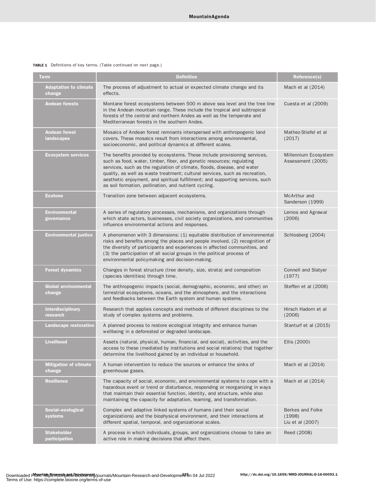TABLE 1 Definitions of key terms. (Table continued on next page.)

| <b>Term</b>                            | <b>Definition</b>                                                                                                                                                                                                                                                                                                                                                                                                                                      | <b>Reference(s)</b>                            |
|----------------------------------------|--------------------------------------------------------------------------------------------------------------------------------------------------------------------------------------------------------------------------------------------------------------------------------------------------------------------------------------------------------------------------------------------------------------------------------------------------------|------------------------------------------------|
| <b>Adaptation to climate</b><br>change | The process of adjustment to actual or expected climate change and its<br>effects.                                                                                                                                                                                                                                                                                                                                                                     | Mach et al (2014)                              |
| <b>Andean forests</b>                  | Montane forest ecosystems between 500 m above sea level and the tree line<br>in the Andean mountain range. These include the tropical and subtropical<br>forests of the central and northern Andes as well as the temperate and<br>Mediterranean forests in the southern Andes.                                                                                                                                                                        | Cuesta et al (2009)                            |
| <b>Andean forest</b><br>landscapes     | Mosaics of Andean forest remnants interspersed with anthropogenic land<br>covers. These mosaics result from interactions among environmental,<br>socioeconomic, and political dynamics at different scales.                                                                                                                                                                                                                                            | Mathez-Stiefel et al<br>(2017)                 |
| <b>Ecosystem services</b>              | The benefits provided by ecosystems. These include provisioning services,<br>such as food, water, timber, fiber, and genetic resources; regulating<br>services, such as the regulation of climate, floods, disease, and water<br>quality, as well as waste treatment; cultural services, such as recreation,<br>aesthetic enjoyment, and spiritual fulfillment; and supporting services, such<br>as soil formation, pollination, and nutrient cycling. | Millennium Ecosystem<br>Assessment (2005)      |
| <b>Ecotone</b>                         | Transition zone between adjacent ecosystems.                                                                                                                                                                                                                                                                                                                                                                                                           | McArthur and<br>Sanderson (1999)               |
| <b>Environmental</b><br>governance     | A series of regulatory processes, mechanisms, and organizations through<br>which state actors, businesses, civil society organizations, and communities<br>influence environmental actions and responses.                                                                                                                                                                                                                                              | Lemos and Agrawal<br>(2006)                    |
| <b>Environmental justice</b>           | A phenomenon with 3 dimensions: (1) equitable distribution of environmental<br>risks and benefits among the places and people involved, (2) recognition of<br>the diversity of participants and experiences in affected communities, and<br>(3) the participation of all social groups in the political process of<br>environmental policymaking and decision-making.                                                                                  | Schlosberg (2004)                              |
| <b>Forest dynamics</b>                 | Changes in forest structure (tree density, size, strata) and composition<br>(species identities) through time.                                                                                                                                                                                                                                                                                                                                         | Connell and Slatyer<br>(1977)                  |
| <b>Global environmental</b><br>change  | The anthropogenic impacts (social, demographic, economic, and other) on<br>terrestrial ecosystems, oceans, and the atmosphere, and the interactions<br>and feedbacks between the Earth system and human systems.                                                                                                                                                                                                                                       | Steffen et al (2006)                           |
| <b>Interdisciplinary</b><br>research   | Research that applies concepts and methods of different disciplines to the<br>study of complex systems and problems.                                                                                                                                                                                                                                                                                                                                   | Hirsch Hadorn et al<br>(2006)                  |
| <b>Landscape restoration</b>           | A planned process to restore ecological integrity and enhance human<br>wellbeing in a deforested or degraded landscape.                                                                                                                                                                                                                                                                                                                                | Stanturf et al (2015)                          |
| <b>Livelihood</b>                      | Assets (natural, physical, human, financial, and social), activities, and the<br>access to these (mediated by institutions and social relations) that together<br>determine the livelihood gained by an individual or household.                                                                                                                                                                                                                       | Ellis (2000)                                   |
| <b>Mitigation of climate</b><br>change | A human intervention to reduce the sources or enhance the sinks of<br>greenhouse gases.                                                                                                                                                                                                                                                                                                                                                                | Mach et al (2014)                              |
| <b>Resilience</b>                      | The capacity of social, economic, and environmental systems to cope with a<br>hazardous event or trend or disturbance, responding or reorganizing in ways<br>that maintain their essential function, identity, and structure, while also<br>maintaining the capacity for adaptation, learning, and transformation.                                                                                                                                     | Mach et al (2014)                              |
| Social-ecological<br>systems           | Complex and adaptive linked systems of humans (and their social<br>organizations) and the biophysical environment, and their interactions at<br>different spatial, temporal, and organizational scales.                                                                                                                                                                                                                                                | Berkes and Folke<br>(1998)<br>Liu et al (2007) |
| <b>Stakeholder</b><br>participation    | A process in which individuals, groups, and organizations choose to take an<br>active role in making decisions that affect them.                                                                                                                                                                                                                                                                                                                       | Reed (2008)                                    |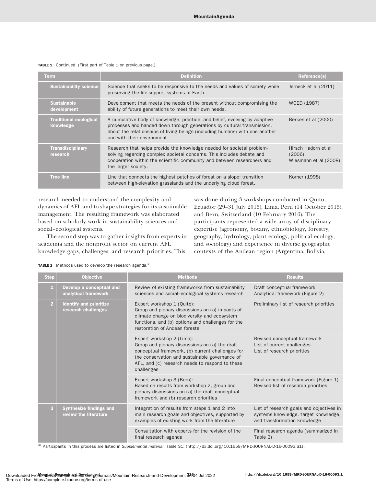|  | <b>TABLE 1</b> Continued. (First part of Table 1 on previous page.) |  |  |  |  |  |  |  |  |  |
|--|---------------------------------------------------------------------|--|--|--|--|--|--|--|--|--|
|--|---------------------------------------------------------------------|--|--|--|--|--|--|--|--|--|

| Term                                        | <b>Definition</b>                                                                                                                                                                                                                                                    | Reference(s)                                           |
|---------------------------------------------|----------------------------------------------------------------------------------------------------------------------------------------------------------------------------------------------------------------------------------------------------------------------|--------------------------------------------------------|
| <b>Sustainability science</b>               | Science that seeks to be responsive to the needs and values of society while<br>preserving the life-support systems of Earth.                                                                                                                                        | Jerneck et al (2011)                                   |
| <b>Sustainable</b><br>development           | Development that meets the needs of the present without compromising the<br>ability of future generations to meet their own needs.                                                                                                                                   | <b>WCED (1987)</b>                                     |
| <b>Traditional ecological</b><br>knowledge  | A cumulative body of knowledge, practice, and belief, evolving by adaptive<br>processes and handed down through generations by cultural transmission,<br>about the relationships of living beings (including humans) with one another<br>and with their environment. | Berkes et al (2000)                                    |
| <b>Transdisciplinary</b><br><b>research</b> | Research that helps provide the knowledge needed for societal problem-<br>solving regarding complex societal concerns. This includes debate and<br>cooperation within the scientific community and between researchers and<br>the larger society.                    | Hirsch Hadorn et al<br>(2006)<br>Wiesmann et al (2008) |
| <b>Tree line</b>                            | Line that connects the highest patches of forest on a slope; transition<br>between high-elevation grasslands and the underlying cloud forest.                                                                                                                        | Körner (1998)                                          |

research needed to understand the complexity and dynamics of AFL and to shape strategies for its sustainable management. The resulting framework was elaborated based on scholarly work in sustainability sciences and social–ecological systems.

The second step was to gather insights from experts in academia and the nonprofit sector on current AFL knowledge gaps, challenges, and research priorities. This

was done during 3 workshops conducted in Quito, Ecuador (29–31 July 2015), Lima, Peru (14 October 2015), and Bern, Switzerland (10 February 2016). The participants represented a wide array of disciplinary expertise (agronomy, botany, ethnobiology, forestry, geography, hydrology, plant ecology, political ecology, and sociology) and experience in diverse geographic contexts of the Andean region (Argentina, Bolivia,

TABLE 2 Methods used to develop the research agenda.<sup>a)</sup>

| <b>Step</b>                                                             | <b>Objective</b>                                        | <b>Methods</b>                                                                                                                                                                                                                                     | <b>Results</b>                                                                                                   |  |
|-------------------------------------------------------------------------|---------------------------------------------------------|----------------------------------------------------------------------------------------------------------------------------------------------------------------------------------------------------------------------------------------------------|------------------------------------------------------------------------------------------------------------------|--|
| $\mathbf{1}$                                                            | Develop a conceptual and<br>analytical framework        | Review of existing frameworks from sustainability<br>sciences and social-ecological systems research                                                                                                                                               | Draft conceptual framework<br>Analytical framework (Figure 2)                                                    |  |
| $\overline{2}$<br><b>Identify and prioritize</b><br>research challenges |                                                         | Expert workshop 1 (Quito):<br>Group and plenary discussions on (a) impacts of<br>climate change on biodiversity and ecosystem<br>functions, and (b) options and challenges for the<br>restoration of Andean forests                                | Preliminary list of research priorities                                                                          |  |
|                                                                         |                                                         | Expert workshop 2 (Lima):<br>Group and plenary discussions on (a) the draft<br>conceptual framework, (b) current challenges for<br>the conservation and sustainable governance of<br>AFL, and (c) research needs to respond to these<br>challenges | Revised conceptual framework<br>List of current challenges<br>List of research priorities                        |  |
|                                                                         |                                                         | Expert workshop 3 (Bern):<br>Based on results from workshop 2, group and<br>plenary discussions on (a) the draft conceptual<br>framework and (b) research priorities                                                                               | Final conceptual framework (Figure 1)<br>Revised list of research priorities                                     |  |
| з                                                                       | <b>Synthesize findings and</b><br>review the literature | Integration of results from steps 1 and 2 into<br>main research goals and objectives, supported by<br>examples of existing work from the literature                                                                                                | List of research goals and objectives in<br>systems knowledge, target knowledge,<br>and transformation knowledge |  |
|                                                                         |                                                         | Consultation with experts for the revision of the<br>final research agenda                                                                                                                                                                         | Final research agenda (summarized in<br>Table 3)                                                                 |  |

a) Participants in this process are listed in Supplemental material, Table S1; ([http://dx.doi.org/10.1659/MRD-JOURNAL-D-16-00093.S1\)](http://dx.doi.org/10.1659/MRD-JOURNAL-D-16-00093.S1).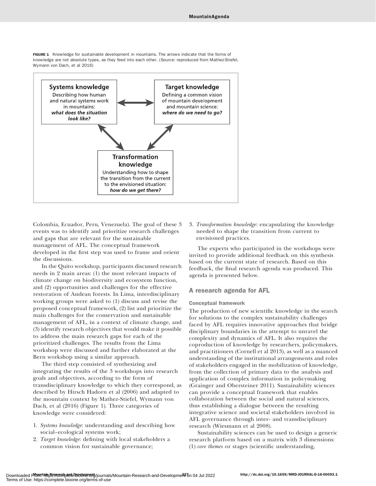FIGURE 1 Knowledge for sustainable development in mountains. The arrows indicate that the forms of knowledge are not absolute types, as they feed into each other. (Source: reproduced from Mathez-Stiefel, Wymann von Dach, et al 2016)



Colombia, Ecuador, Peru, Venezuela). The goal of these 3 events was to identify and prioritize research challenges and gaps that are relevant for the sustainable management of AFL. The conceptual framework developed in the first step was used to frame and orient the discussions.

In the Quito workshop, participants discussed research needs in 2 main areas: (1) the most relevant impacts of climate change on biodiversity and ecosystem function, and (2) opportunities and challenges for the effective restoration of Andean forests. In Lima, interdisciplinary working groups were asked to (1) discuss and revise the proposed conceptual framework, (2) list and prioritize the main challenges for the conservation and sustainable management of AFL, in a context of climate change, and (3) identify research objectives that would make it possible to address the main research gaps for each of the prioritized challenges. The results from the Lima workshop were discussed and further elaborated at the Bern workshop using a similar approach.

The third step consisted of synthesizing and integrating the results of the 3 workshops into research goals and objectives, according to the form of transdisciplinary knowledge to which they correspond, as described by Hirsch Hadorn et al (2006) and adapted to the mountain context by Mathez-Stiefel, Wymann von Dach, et al (2016) (Figure 1). Three categories of knowledge were considered:

- 1. Systems knowledge: understanding and describing how social–ecological systems work;
- 2. Target knowledge: defining with local stakeholders a common vision for sustainable governance;

3. Transformation knowledge: encapsulating the knowledge needed to shape the transition from current to envisioned practices.

The experts who participated in the workshops were invited to provide additional feedback on this synthesis based on the current state of research. Based on this feedback, the final research agenda was produced. This agenda is presented below.

## A research agenda for AFL

## Conceptual framework

The production of new scientific knowledge in the search for solutions to the complex sustainability challenges faced by AFL requires innovative approaches that bridge disciplinary boundaries in the attempt to unravel the complexity and dynamics of AFL. It also requires the coproduction of knowledge by researchers, policymakers, and practitioners (Cornell et al 2013), as well as a nuanced understanding of the institutional arrangements and roles of stakeholders engaged in the mobilization of knowledge, from the collection of primary data to the analysis and application of complex information in policymaking (Grainger and Obersteiner 2011). Sustainability sciences can provide a conceptual framework that enables collaboration between the social and natural sciences, thus establishing a dialogue between the resulting integrative science and societal stakeholders involved in AFL governance through inter- and transdisciplinary research (Wiesmann et al 2008).

Sustainability sciences can be used to design a generic research platform based on a matrix with 3 dimensions: (1) core themes or stages (scientific understanding,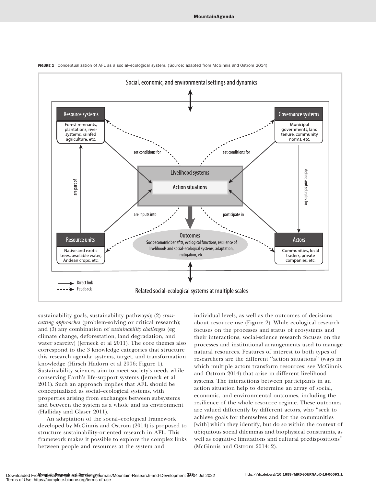

FIGURE 2 Conceptualization of AFL as a social–ecological system. (Source: adapted from McGinnis and Ostrom 2014)

sustainability goals, sustainability pathways); (2) crosscutting approaches (problem-solving or critical research); and (3) any combination of sustainability challenges (eg climate change, deforestation, land degradation, and water scarcity) (Jerneck et al 2011). The core themes also correspond to the 3 knowledge categories that structure this research agenda: systems, target, and transformation knowledge (Hirsch Hadorn et al 2006; Figure 1). Sustainability sciences aim to meet society's needs while conserving Earth's life-support systems (Jerneck et al 2011). Such an approach implies that AFL should be conceptualized as social–ecological systems, with properties arising from exchanges between subsystems and between the system as a whole and its environment (Halliday and Glaser 2011).

An adaptation of the social–ecological framework developed by McGinnis and Ostrom (2014) is proposed to structure sustainability-oriented research in AFL. This framework makes it possible to explore the complex links between people and resources at the system and

individual levels, as well as the outcomes of decisions about resource use (Figure 2). While ecological research focuses on the processes and status of ecosystems and their interactions, social-science research focuses on the processes and institutional arrangements used to manage natural resources. Features of interest to both types of researchers are the different ''action situations'' (ways in which multiple actors transform resources; see McGinnis and Ostrom 2014) that arise in different livelihood systems. The interactions between participants in an action situation help to determine an array of social, economic, and environmental outcomes, including the resilience of the whole resource regime. These outcomes are valued differently by different actors, who ''seek to achieve goals for themselves and for the communities [with] which they identify, but do so within the context of ubiquitous social dilemmas and biophysical constraints, as well as cognitive limitations and cultural predispositions'' (McGinnis and Ostrom 2014: 2).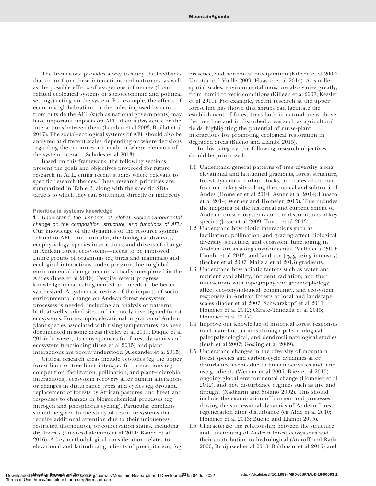The framework provides a way to study the feedbacks that occur from these interactions and outcomes, as well as the possible effects of exogenous influences (from related ecological systems or socioeconomic and political settings) acting on the system. For example, the effects of economic globalization, or the rules imposed by actors from outside the AFL (such as national governments) may have important impacts on AFL, their subsystems, or the interactions between them (Lambin et al 2003; Boillat et al 2017). The social–ecological systems of AFL should also be analyzed at different scales, depending on where decisions regarding the resources are made or where elements of the system interact (Scholes et al 2013).

Based on this framework, the following sections present the goals and objectives proposed for future research in AFL, citing recent studies where relevant to specific research themes. These research priorities are summarized in Table 3, along with the specific SDG targets to which they can contribute directly or indirectly.

#### Priorities in systems knowledge

**1** Understand the impacts of global socio-environmental change on the composition, structure, and functions of AFL: Our knowledge of the dynamics of the resource systems related to AFL—in particular, the biological diversity, ecophysiology, species interactions, and drivers of change in Andean forest ecosystems—needs to be improved. Entire groups of organisms (eg birds and mammals) and ecological interactions under pressure due to global environmental change remain virtually unexplored in the Andes (Báez et al 2016). Despite recent progress, knowledge remains fragmented and needs to be better synthesized. A systematic review of the impacts of socioenvironmental change on Andean forest ecosystem processes is needed, including an analysis of patterns, both at well-studied sites and in poorly investigated forest ecosystems. For example, elevational migration of Andean plant species associated with rising temperatures has been documented in some areas (Feeley et al 2011; Duque et al 2015); however, its consequences for forest dynamics and ecosystem functioning (Báez et al 2015) and plant interactions are poorly understood (Alexander et al 2015).

Critical research areas include ecotones (eg the upper forest limit or tree line), interspecific interactions (eg competition, facilitation, pollination, and plant–microbial interactions), ecosystem recovery after human alterations or changes in disturbance types and cycles (eg drought, replacement of forests by African pastures, and fires), and responses to changes in biogeochemical processes (eg nitrogen and phosphorus cycling). Particular emphasis should be given to the study of resource systems that require additional attention due to their uniqueness, restricted distribution, or conservation status, including dry forests (Linares-Palomino et al 2011; Banda et al 2016). A key methodological consideration relates to elevational and latitudinal gradients of precipitation, fog

presence, and horizontal precipitation (Killeen et al 2007; Urrutia and Vuille 2009; Huasco et al 2014). At smaller spatial scales, environmental moisture also varies greatly, from humid to xeric conditions (Killeen et al 2007; Kessler et al 2011). For example, recent research at the upper forest line has shown that shrubs can facilitate the establishment of forest trees both in natural areas above the tree line and in disturbed areas such as agricultural fields, highlighting the potential of nurse-plant interactions for promoting ecological restoration in degraded areas (Bueno and Llambí 2015).

In this category, the following research objectives should be prioritized:

- 1.1. Understand general patterns of tree diversity along elevational and latitudinal gradients, forest structure, forest dynamics, carbon stocks, and rates of carbon fixation, in key sites along the tropical and subtropical Andes (Homeier et al 2010; Asner et al 2014; Huasco et al 2014; Werner and Homeier 2015). This includes the mapping of the historical and current extent of Andean forest ecosystems and the distributions of key species (Josse et al 2009; Tovar et al 2013).
- 1.2. Understand how biotic interactions such as facilitation, pollination, and grazing affect biological diversity, structure, and ecosystem functioning in Andean forests along environmental (Malhi et al 2010; Llambí et al 2013) and land-use (eg grazing intensity) (Becker et al 2007; Malizia et al 2013) gradients.
- 1.3. Understand how abiotic factors such as water and nutrient availability, incident radiation, and their interactions with topography and geomorphology affect eco-physiological, community, and ecosystem responses in Andean forests at local and landscape scales (Bader et al 2007; Schwarzkopf et al 2011; Homeier et al 2012; Cárate-Tandalla et al 2015; Homeier et al 2017).
- 1.4. Improve our knowledge of historical forest responses to climate fluctuations through paleoecological, paleopalynological, and dendroclimatological studies (Bush et al 2007; Gosling et al 2009).
- 1.5. Understand changes in the diversity of mountain forest species and carbon-cycle dynamics after disturbance events due to human activities and landuse gradients (Werner et al 2005; Báez et al 2010), ongoing global environmental change (Homeier et al 2012), and new disturbance regimes such as fire and drought (Nadkarni and Solano 2002). This should include the examination of barriers and processes driving the successional dynamics of Andean forest regeneration after disturbance (eg Aide et al 2010; Homeier et al 2013; Bueno and Llambí 2015).
- 1.6. Characterize the relationship between the structure and functioning of Andean forest ecosystems and their contribution to hydrological (Ataroff and Rada 2000; Bruijnzeel et al 2010; Balthazar et al 2015) and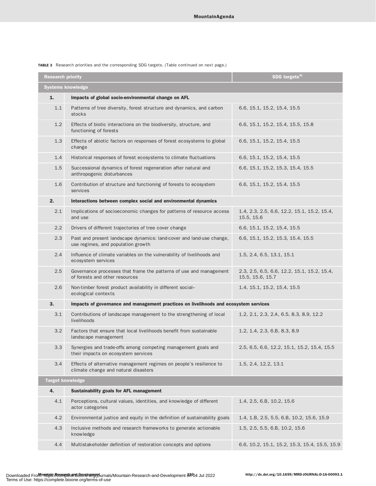TABLE 3 Research priorities and the corresponding SDG targets. (Table continued on next page.)

| <b>Research priority</b> |                                                                                                             | SDG targets <sup>a)</sup>                                       |  |  |  |  |
|--------------------------|-------------------------------------------------------------------------------------------------------------|-----------------------------------------------------------------|--|--|--|--|
|                          | <b>Systems knowledge</b>                                                                                    |                                                                 |  |  |  |  |
| 1.                       | Impacts of global socio-environmental change on AFL                                                         |                                                                 |  |  |  |  |
| 1.1                      | Patterns of tree diversity, forest structure and dynamics, and carbon<br>stocks                             | 6.6, 15.1, 15.2, 15.4, 15.5                                     |  |  |  |  |
| 1.2                      | Effects of biotic interactions on the biodiversity, structure, and<br>functioning of forests                | 6.6, 15.1, 15.2, 15.4, 15.5, 15.8                               |  |  |  |  |
| 1.3                      | Effects of abiotic factors on responses of forest ecosystems to global<br>change                            | 6.6, 15.1, 15.2, 15.4, 15.5                                     |  |  |  |  |
| 1.4                      | Historical responses of forest ecosystems to climate fluctuations                                           | 6.6, 15.1, 15.2, 15.4, 15.5                                     |  |  |  |  |
| 1.5                      | Successional dynamics of forest regeneration after natural and<br>anthropogenic disturbances                | 6.6, 15.1, 15.2, 15.3, 15.4, 15.5                               |  |  |  |  |
| 1.6                      | Contribution of structure and functioning of forests to ecosystem<br>services                               | 6.6, 15.1, 15.2, 15.4, 15.5                                     |  |  |  |  |
| 2.                       | Interactions between complex social and environmental dynamics                                              |                                                                 |  |  |  |  |
| 2.1                      | Implications of socioeconomic changes for patterns of resource access<br>and use                            | 1.4, 2.3, 2.5, 6.6, 12.2, 15.1, 15.2, 15.4,<br>15.5, 15.6       |  |  |  |  |
| 2.2                      | Drivers of different trajectories of tree cover change                                                      | 6.6, 15.1, 15.2, 15.4, 15.5                                     |  |  |  |  |
| 2.3                      | Past and present landscape dynamics: land-cover and land-use change,<br>use regimes, and population growth  | 6.6, 15.1, 15.2, 15.3, 15.4, 15.5                               |  |  |  |  |
| 2.4                      | Influence of climate variables on the vulnerability of livelihoods and<br>ecosystem services                | 1.5, 2.4, 6.5, 13.1, 15.1                                       |  |  |  |  |
| 2.5                      | Governance processes that frame the patterns of use and management<br>of forests and other resources        | 2.3, 2.5, 6.5, 6.6, 12.2, 15.1, 15.2, 15.4,<br>15.5, 15.6, 15.7 |  |  |  |  |
| 2.6                      | Non-timber forest product availability in different social-<br>ecological contexts                          | 1.4, 15.1, 15.2, 15.4, 15.5                                     |  |  |  |  |
| 3.                       | Impacts of governance and management practices on livelihoods and ecosystem services                        |                                                                 |  |  |  |  |
| 3.1                      | Contributions of landscape management to the strengthening of local<br>livelihoods                          | 1.2, 2.1, 2.3, 2.A, 6.5, 8.3, 8.9, 12.2                         |  |  |  |  |
| 3.2                      | Factors that ensure that local livelihoods benefit from sustainable<br>landscape management                 | 1.2, 1.4, 2.3, 6.B, 8.3, 8.9                                    |  |  |  |  |
| 3.3                      | Synergies and trade-offs among competing management goals and<br>their impacts on ecosystem services        | 2.5, 6.5, 6.6, 12.2, 15.1, 15.2, 15.4, 15.5                     |  |  |  |  |
| 3.4                      | Effects of alternative management regimes on people's resilience to<br>climate change and natural disasters | 1.5, 2.4, 12.2, 13.1                                            |  |  |  |  |
| <b>Target knowledge</b>  |                                                                                                             |                                                                 |  |  |  |  |
| 4.                       | <b>Sustainability goals for AFL management</b>                                                              |                                                                 |  |  |  |  |
| 4.1                      | Perceptions, cultural values, identities, and knowledge of different<br>actor categories                    | 1.4, 2.5, 6.B, 10.2, 15.6                                       |  |  |  |  |
| 4.2                      | Environmental justice and equity in the definition of sustainability goals                                  | 1.4, 1.B, 2.5, 5.5, 6.B, 10.2, 15.6, 15.9                       |  |  |  |  |
| 4.3                      | Inclusive methods and research frameworks to generate actionable<br>knowledge                               | 1.5, 2.5, 5.5, 6.B, 10.2, 15.6                                  |  |  |  |  |
| 4.4                      | Multistakeholder definition of restoration concepts and options                                             | 6.6, 10.2, 15.1, 15.2, 15.3, 15.4, 15.5, 15.9                   |  |  |  |  |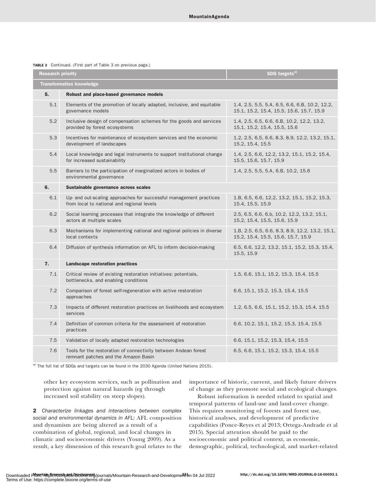## TABLE 3 Continued. (First part of Table 3 on previous page.)

| <b>Research priority</b>        |                                                                                                                  | SDG targets <sup>a)</sup>                                                                  |  |  |  |  |
|---------------------------------|------------------------------------------------------------------------------------------------------------------|--------------------------------------------------------------------------------------------|--|--|--|--|
| <b>Transformation knowledge</b> |                                                                                                                  |                                                                                            |  |  |  |  |
| 5.                              | Robust and place-based governance models                                                                         |                                                                                            |  |  |  |  |
| 5.1                             | Elements of the promotion of locally adapted, inclusive, and equitable<br>governance models                      | 1.4, 2.5, 5.5, 5.A, 6.5, 6.6, 6.B, 10.2, 12.2,<br>15.1, 15.2, 15.4, 15.5, 15.6, 15.7, 15.9 |  |  |  |  |
| 5.2                             | Inclusive design of compensation schemes for the goods and services<br>provided by forest ecosystems             | 1.4, 2.5, 6.5, 6.6, 6.B, 10.2, 12.2, 13.2,<br>15.1, 15.2, 15.4, 15.5, 15.6                 |  |  |  |  |
| 5.3                             | Incentives for maintenance of ecosystem services and the economic<br>development of landscapes                   | 1.2, 2.5, 6.5, 6.6, 8.3, 8.9, 12.2, 13.2, 15.1,<br>15.2, 15.4, 15.5                        |  |  |  |  |
| 5.4                             | Local knowledge and legal instruments to support institutional change<br>for increased sustainability            | 1.4, 2.5, 6.6, 12.2, 13.2, 15.1, 15.2, 15.4,<br>15.5, 15.6, 15.7, 15.9                     |  |  |  |  |
| 5.5                             | Barriers to the participation of marginalized actors in bodies of<br>environmental governance                    | 1.4, 2.5, 5.5, 5.A, 6.B, 10.2, 15.6                                                        |  |  |  |  |
| 6.                              | Sustainable governance across scales                                                                             |                                                                                            |  |  |  |  |
| 6.1                             | Up- and out-scaling approaches for successful management practices<br>from local to national and regional levels | 1.B, 6.5, 6.6, 12.2, 13.2, 15.1, 15.2, 15.3,<br>15.4, 15.5, 15.9                           |  |  |  |  |
| 6.2                             | Social learning processes that integrate the knowledge of different<br>actors at multiple scales                 | 2.5, 6.5, 6.6, 6.b, 10.2, 12.2, 13.2, 15.1,<br>15.2, 15.4, 15.5, 15.6, 15.9                |  |  |  |  |
| 6.3                             | Mechanisms for implementing national and regional policies in diverse<br>local contexts                          | 1.B, 2.5, 6.5, 6.6, 8.3, 8.9, 12.2, 13.2, 15.1,<br>15.2, 15.4, 15.5, 15.6, 15.7, 15.9      |  |  |  |  |
| 6.4                             | Diffusion of synthesis information on AFL to inform decision-making                                              | 6.5, 6.6, 12.2, 13.2, 15.1, 15.2, 15.3, 15.4,<br>15.5, 15.9                                |  |  |  |  |
| 7.                              | <b>Landscape restoration practices</b>                                                                           |                                                                                            |  |  |  |  |
| 7.1                             | Critical review of existing restoration initiatives: potentials,<br>bottlenecks, and enabling conditions         | 1.5, 6.6, 15.1, 15.2, 15.3, 15.4, 15.5                                                     |  |  |  |  |
| 7.2                             | Comparison of forest self-regeneration with active restoration<br>approaches                                     | 6.6, 15.1, 15.2, 15.3, 15.4, 15.5                                                          |  |  |  |  |
| 7.3                             | Impacts of different restoration practices on livelihoods and ecosystem<br>services                              | 1.2, 6.5, 6.6, 15.1, 15.2, 15.3, 15.4, 15.5                                                |  |  |  |  |
| 7.4                             | Definition of common criteria for the assessment of restoration<br>practices                                     | 6.6, 10.2, 15.1, 15.2, 15.3, 15.4, 15.5                                                    |  |  |  |  |
| 7.5                             | Validation of locally adapted restoration technologies                                                           | 6.6, 15.1, 15.2, 15.3, 15.4, 15.5                                                          |  |  |  |  |
| 7.6                             | Tools for the restoration of connectivity between Andean forest<br>remnant patches and the Amazon Basin          | 6.5, 6.6, 15.1, 15.2, 15.3, 15.4, 15.5                                                     |  |  |  |  |

a) The full list of SDGs and targets can be found in the 2030 Agenda (United Nations 2015).

other key ecosystem services, such as pollination and protection against natural hazards (eg through increased soil stability on steep slopes).

2 Characterize linkages and interactions between complex social and environmental dynamics in AFL: AFL composition and dynamism are being altered as a result of a combination of global, regional, and local changes in climatic and socioeconomic drivers (Young 2009). As a result, a key dimension of this research goal relates to the importance of historic, current, and likely future drivers of change as they promote social and ecological changes.

Robust information is needed related to spatial and temporal patterns of land-use and land-cover change. This requires monitoring of forests and forest use, historical analyses, and development of predictive capabilities (Ponce-Reyes et al 2013; Ortega-Andrade et al 2015). Special attention should be paid to the socioeconomic and political context, as economic, demographic, political, technological, and market-related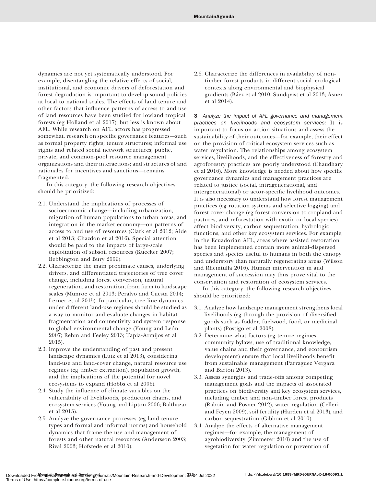dynamics are not yet systematically understood. For example, disentangling the relative effects of social, institutional, and economic drivers of deforestation and forest degradation is important to develop sound policies at local to national scales. The effects of land tenure and other factors that influence patterns of access to and use of land resources have been studied for lowland tropical forests (eg Holland et al 2017), but less is known about AFL. While research on AFL actors has progressed somewhat, research on specific governance features—such as formal property rights; tenure structures; informal use rights and related social network structures; public, private, and common-pool resource management organizations and their interactions; and structures of and rationales for incentives and sanctions—remains fragmented.

In this category, the following research objectives should be prioritized:

- 2.1. Understand the implications of processes of socioeconomic change—including urbanization, migration of human populations to urban areas, and integration in the market economy—on patterns of access to and use of resources (Clark et al 2012; Aide et al 2013; Chazdon et al 2016). Special attention should be paid to the impacts of large-scale exploitation of subsoil resources (Kuecker 2007; Bebbington and Bury 2009).
- 2.2. Characterize the main proximate causes, underlying drivers, and differentiated trajectories of tree cover change, including forest conversion, natural regeneration, and restoration, from farm to landscape scales (Munroe et al 2013; Peralvo and Cuesta 2014; Lerner et al 2015). In particular, tree-line dynamics under different land-use regimes should be studied as a way to monitor and evaluate changes in habitat fragmentation and connectivity and system response to global environmental change (Young and León 2007; Rehm and Feeley 2013; Tapia-Armijos et al 2015).
- 2.3. Improve the understanding of past and present landscape dynamics (Lutz et al 2013), considering land-use and land-cover change, natural resource use regimes (eg timber extraction), population growth, and the implications of the potential for novel ecosystems to expand (Hobbs et al 2006).
- 2.4. Study the influence of climate variables on the vulnerability of livelihoods, production chains, and ecosystem services (Young and Lipton 2006; Balthazar et al 2015).
- 2.5. Analyze the governance processes (eg land tenure types and formal and informal norms) and household dynamics that frame the use and management of forests and other natural resources (Andersson 2003; Rival 2003; Hofstede et al 2010).

2.6. Characterize the differences in availability of nontimber forest products in different social–ecological contexts along environmental and biophysical gradients (Báez et al 2010; Sundqvist et al 2013; Asner et al 2014).

**3** Analyze the impact of AFL governance and management practices on livelihoods and ecosystem services: It is important to focus on action situations and assess the sustainability of their outcomes—for example, their effect on the provision of critical ecosystem services such as water regulation. The relationships among ecosystem services, livelihoods, and the effectiveness of forestry and agroforestry practices are poorly understood (Chaudhary et al 2016). More knowledge is needed about how specific governance dynamics and management practices are related to justice (social, intragenerational, and intergenerational) or actor-specific livelihood outcomes. It is also necessary to understand how forest management practices (eg rotation systems and selective logging) and forest cover change (eg forest conversion to cropland and pastures, and reforestation with exotic or local species) affect biodiversity, carbon sequestration, hydrologic functions, and other key ecosystem services. For example, in the Ecuadorian AFL, areas where assisted restoration has been implemented contain more animal-dispersed species and species useful to humans in both the canopy and understory than naturally regenerating areas (Wilson and Rhemtulla 2016). Human intervention in and management of succession may thus prove vital to the conservation and restoration of ecosystem services.

In this category, the following research objectives should be prioritized:

- 3.1. Analyze how landscape management strengthens local livelihoods (eg through the provision of diversified goods such as fodder, fuelwood, food, or medicinal plants) (Postigo et al 2008).
- 3.2. Determine what factors (eg tenure regimes, community bylaws, use of traditional knowledge, value chains and their governance, and ecotourism development) ensure that local livelihoods benefit from sustainable management (Parraguez Vergara and Barton 2013).
- 3.3. Assess synergies and trade-offs among competing management goals and the impacts of associated practices on biodiversity and key ecosystem services, including timber and non-timber forest products (Raboin and Posner 2012), water regulation (Celleri and Feyen 2009), soil fertility (Harden et al 2013), and carbon sequestration (Gibbon et al 2010).
- 3.4. Analyze the effects of alternative management regimes—for example, the management of agrobiodiversity (Zimmerer 2010) and the use of vegetation for water regulation or prevention of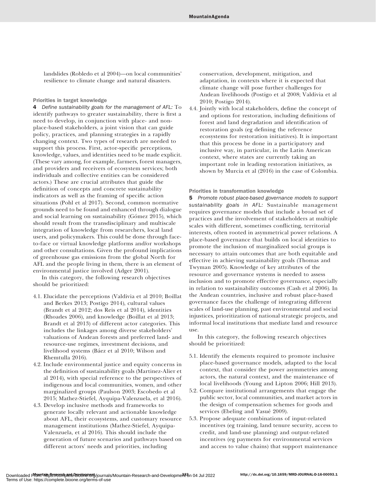landslides (Robledo et al 2004)—on local communities' resilience to climate change and natural disasters.

## Priorities in target knowledge

4 Define sustainability goals for the management of AFL: To identify pathways to greater sustainability, there is first a need to develop, in conjunction with place- and nonplace-based stakeholders, a joint vision that can guide policy, practices, and planning strategies in a rapidly changing context. Two types of research are needed to support this process. First, actor-specific perceptions, knowledge, values, and identities need to be made explicit. (These vary among, for example, farmers, forest managers, and providers and receivers of ecosystem services; both individuals and collective entities can be considered actors.) These are crucial attributes that guide the definition of concepts and concrete sustainability indicators as well as the framing of specific action situations (Pohl et al 2017). Second, common normative grounds need to be found and enhanced through dialogue and social learning on sustainability (Gómez 2015), which should result from the transdisciplinary and multiscale integration of knowledge from researchers, local land users, and policymakers. This could be done through faceto-face or virtual knowledge platforms and/or workshops and other consultations. Given the profound implications of greenhouse gas emissions from the global North for AFL and the people living in them, there is an element of environmental justice involved (Adger 2001).

In this category, the following research objectives should be prioritized:

- 4.1. Elucidate the perceptions (Valdivia et al 2010; Boillat and Berkes 2013; Postigo 2014), cultural values (Brandt et al 2012; dos Reis et al 2014), identities (Rhoades 2006), and knowledge (Boillat et al 2013; Brandt et al 2013) of different actor categories. This includes the linkages among diverse stakeholders' valuations of Andean forests and preferred land- and resource-use regimes, investment decisions, and livelihood systems (Báez et al 2010; Wilson and Rhemtulla 2016).
- 4.2. Include environmental justice and equity concerns in the definition of sustainability goals (Martinez-Alier et al 2014), with special reference to the perspectives of indigenous and local communities, women, and other marginalized groups (Paulson 2003; Escobedo et al 2015; Mathez-Stiefel, Ayquipa-Valenzuela, et al 2016).
- 4.3. Develop inclusive methods and frameworks to generate locally relevant and actionable knowledge about AFL, their ecosystems, and customary resource management institutions (Mathez-Stiefel, Ayquipa-Valenzuela, et al 2016). This should include the generation of future scenarios and pathways based on different actors' needs and priorities, including

conservation, development, mitigation, and adaptation, in contexts where it is expected that climate change will pose further challenges for Andean livelihoods (Postigo et al 2008; Valdivia et al 2010; Postigo 2014).

4.4. Jointly with local stakeholders, define the concept of and options for restoration, including definitions of forest and land degradation and identification of restoration goals (eg defining the reference ecosystems for restoration initiatives). It is important that this process be done in a participatory and inclusive way, in particular, in the Latin American context, where states are currently taking an important role in leading restoration initiatives, as shown by Murcia et al (2016) in the case of Colombia.

#### Priorities in transformation knowledge

5 Promote robust place-based governance models to support sustainability goals in AFL: Sustainable management requires governance models that include a broad set of practices and the involvement of stakeholders at multiple scales with different, sometimes conflicting, territorial interests, often rooted in asymmetrical power relations. A place-based governance that builds on local identities to promote the inclusion of marginalized social groups is necessary to attain outcomes that are both equitable and effective in achieving sustainability goals (Thomas and Twyman 2005). Knowledge of key attributes of the resource and governance systems is needed to assess inclusion and to promote effective governance, especially in relation to sustainability outcomes (Cash et al 2006). In the Andean countries, inclusive and robust place-based governance faces the challenge of integrating different scales of land-use planning, past environmental and social injustices, prioritization of national strategic projects, and informal local institutions that mediate land and resource use.

In this category, the following research objectives should be prioritized:

- 5.1. Identify the elements required to promote inclusive place-based governance models, adapted to the local context, that consider the power asymmetries among actors, the natural context, and the maintenance of local livelihoods (Young and Lipton 2006; Hill 2013).
- 5.2. Compare institutional arrangements that engage the public sector, local communities, and market actors in the design of compensation schemes for goods and services (Ebeling and Yasué 2009).
- 5.3. Propose adequate combinations of input-related incentives (eg training, land tenure security, access to credit, and land-use planning) and output-related incentives (eg payments for environmental services and access to value chains) that support maintenance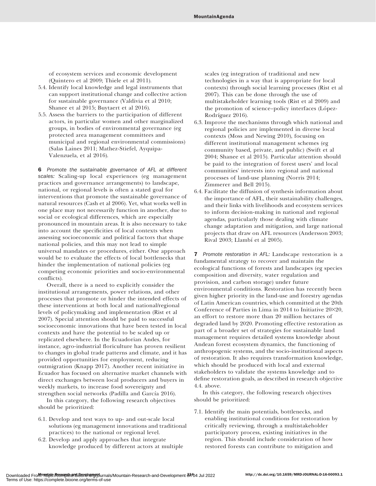of ecosystem services and economic development (Quintero et al 2009; Thiele et al 2011).

- 5.4. Identify local knowledge and legal instruments that can support institutional change and collective action for sustainable governance (Valdivia et al 2010; Shanee et al 2015; Buytaert et al 2016).
- 5.5. Assess the barriers to the participation of different actors, in particular women and other marginalized groups, in bodies of environmental governance (eg protected area management committees and municipal and regional environmental commissions) (Salas Laines 2011; Mathez-Stiefel, Ayquipa-Valenzuela, et al 2016).

6 Promote the sustainable governance of AFL at different scales: Scaling-up local experiences (eg management practices and governance arrangements) to landscape, national, or regional levels is often a stated goal for interventions that promote the sustainable governance of natural resources (Cash et al 2006). Yet, what works well in one place may not necessarily function in another, due to social or ecological differences, which are especially pronounced in mountain areas. It is also necessary to take into account the specificities of local contexts when assessing socioeconomic and political factors that shape national policies, and this may not lead to simple universal mandates or procedures, either. One approach would be to evaluate the effects of local bottlenecks that hinder the implementation of national policies (eg competing economic priorities and socio-environmental conflicts).

Overall, there is a need to explicitly consider the institutional arrangements, power relations, and other processes that promote or hinder the intended effects of these interventions at both local and national/regional levels of policymaking and implementation (Rist et al 2007). Special attention should be paid to successful socioeconomic innovations that have been tested in local contexts and have the potential to be scaled up or replicated elsewhere. In the Ecuadorian Andes, for instance, agro-industrial floriculture has proven resilient to changes in global trade patterns and climate, and it has provided opportunities for employment, reducing outmigration (Knapp 2017). Another recent initiative in Ecuador has focused on alternative market channels with direct exchanges between local producers and buyers in weekly markets, to increase food sovereignty and strengthen social networks (Padilla and García 2016).

In this category, the following research objectives should be prioritized:

- 6.1. Develop and test ways to up- and out-scale local solutions (eg management innovations and traditional practices) to the national or regional level.
- 6.2. Develop and apply approaches that integrate knowledge produced by different actors at multiple

scales (eg integration of traditional and new technologies in a way that is appropriate for local contexts) through social learning processes (Rist et al 2007). This can be done through the use of multistakeholder learning tools (Rist et al 2009) and the promotion of science-policy interfaces (López-Rodríguez 2016).

- 6.3. Improve the mechanisms through which national and regional policies are implemented in diverse local contexts (Moss and Newing 2010), focusing on different institutional management schemes (eg community based, private, and public) (Swift et al 2004; Shanee et al 2015). Particular attention should be paid to the integration of forest users' and local communities' interests into regional and national processes of land-use planning (Norris 2014; Zimmerer and Bell 2015).
- 6.4. Facilitate the diffusion of synthesis information about the importance of AFL, their sustainability challenges, and their links with livelihoods and ecosystem services to inform decision-making in national and regional agendas, particularly those dealing with climate change adaptation and mitigation, and large national projects that draw on AFL resources (Andersson 2003; Rival 2003; Llambí et al 2005).

7 Promote restoration in AFL: Landscape restoration is a fundamental strategy to recover and maintain the ecological functions of forests and landscapes (eg species composition and diversity, water regulation and provision, and carbon storage) under future environmental conditions. Restoration has recently been given higher priority in the land-use and forestry agendas of Latin American countries, which committed at the 20th Conference of Parties in Lima in  $2014$  to Initiative  $20\times20$ . an effort to restore more than 20 million hectares of degraded land by 2020. Promoting effective restoration as part of a broader set of strategies for sustainable land management requires detailed systems knowledge about Andean forest ecosystem dynamics, the functioning of anthropogenic systems, and the socio-institutional aspects of restoration. It also requires transformation knowledge, which should be produced with local and external stakeholders to validate the systems knowledge and to define restoration goals, as described in research objective 4.4. above.

In this category, the following research objectives should be prioritized:

7.1. Identify the main potentials, bottlenecks, and enabling institutional conditions for restoration by critically reviewing, through a multistakeholder participatory process, existing initiatives in the region. This should include consideration of how restored forests can contribute to mitigation and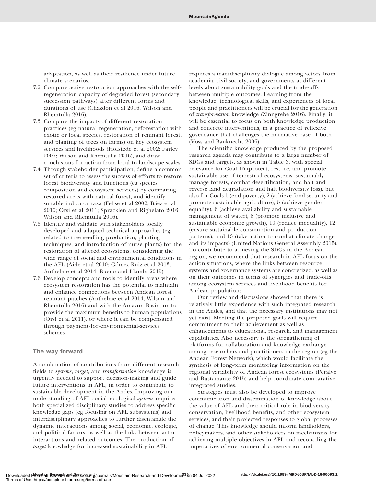adaptation, as well as their resilience under future climate scenarios.

- 7.2. Compare active restoration approaches with the selfregeneration capacity of degraded forest (secondary succession pathways) after different forms and durations of use (Chazdon et al 2016; Wilson and Rhemtulla 2016).
- 7.3. Compare the impacts of different restoration practices (eg natural regeneration, reforestation with exotic or local species, restoration of remnant forest, and planting of trees on farms) on key ecosystem services and livelihoods (Hofstede et al 2002; Farley 2007; Wilson and Rhemtulla 2016), and draw conclusions for action from local to landscape scales.
- 7.4. Through stakeholder participation, define a common set of criteria to assess the success of efforts to restore forest biodiversity and functions (eg species composition and ecosystem services) by comparing restored areas with natural forest, and identify suitable indicator taxa (Fehse et al 2002; Báez et al 2010; Orsi et al 2011; Spracklen and Righelato 2016; Wilson and Rhemtulla 2016).
- 7.5. Identify and validate with stakeholders locally developed and adapted technical approaches (eg related to tree seedling production, planting techniques, and introduction of nurse plants) for the restoration of altered ecosystems, considering the wide range of social and environmental conditions in the AFL (Aide et al 2010; Gómez-Ruiz et al 2013; Anthelme et al 2014; Bueno and Llambí 2015).
- 7.6. Develop concepts and tools to identify areas where ecosystem restoration has the potential to maintain and enhance connections between Andean forest remnant patches (Anthelme et al 2014; Wilson and Rhemtulla 2016) and with the Amazon Basin, or to provide the maximum benefits to human populations (Orsi et al 2011), or where it can be compensated through payment-for-environmental-services schemes.

## The way forward

A combination of contributions from different research fields to systems, target, and transformation knowledge is urgently needed to support decision-making and guide future interventions in AFL, in order to contribute to sustainable development in the Andes. Improving our understanding of AFL social–ecological systems requires both specialized disciplinary studies to address specific knowledge gaps (eg focusing on AFL subsystems) and interdisciplinary approaches to further disentangle the dynamic interactions among social, economic, ecologic, and political factors, as well as the links between actor interactions and related outcomes. The production of target knowledge for increased sustainability in AFL

requires a transdisciplinary dialogue among actors from academia, civil society, and governments at different levels about sustainability goals and the trade-offs between multiple outcomes. Learning from the knowledge, technological skills, and experiences of local people and practitioners will be crucial for the generation of transformation knowledge (Zinngrebe 2016). Finally, it will be essential to focus on both knowledge production and concrete interventions, in a practice of reflexive governance that challenges the normative base of both (Voss and Bauknecht 2006).

The scientific knowledge produced by the proposed research agenda may contribute to a large number of SDGs and targets, as shown in Table 3, with special relevance for Goal 15 (protect, restore, and promote sustainable use of terrestrial ecosystems, sustainably manage forests, combat desertification, and halt and reverse land degradation and halt biodiversity loss), but also for Goals 1 (end poverty), 2 (achieve food security and promote sustainable agriculture), 5 (achieve gender equality), 6 (achieve availability and sustainable management of water), 8 (promote inclusive and sustainable economic growth), 10 (reduce inequality), 12 (ensure sustainable consumption and production patterns), and 13 (take action to combat climate change and its impacts) (United Nations General Assembly 2015). To contribute to achieving the SDGs in the Andean region, we recommend that research in AFL focus on the action situations, where the links between resource systems and governance systems are concretized, as well as on their outcomes in terms of synergies and trade-offs among ecosystem services and livelihood benefits for Andean populations.

Our review and discussions showed that there is relatively little experience with such integrated research in the Andes, and that the necessary institutions may not yet exist. Meeting the proposed goals will require commitment to their achievement as well as enhancements to educational, research, and management capabilities. Also necessary is the strengthening of platforms for collaboration and knowledge exchange among researchers and practitioners in the region (eg the Andean Forest Network), which would facilitate the synthesis of long-term monitoring information on the regional variability of Andean forest ecosystems (Peralvo and Bustamante 2015) and help coordinate comparative integrated studies.

Strategies must also be developed to improve communication and dissemination of knowledge about the value of AFL and their critical role in biodiversity conservation, livelihood benefits, and other ecosystem services, and their projected responses to global processes of change. This knowledge should inform landholders, policymakers, and other stakeholders on mechanisms for achieving multiple objectives in AFL and reconciling the imperatives of environmental conservation and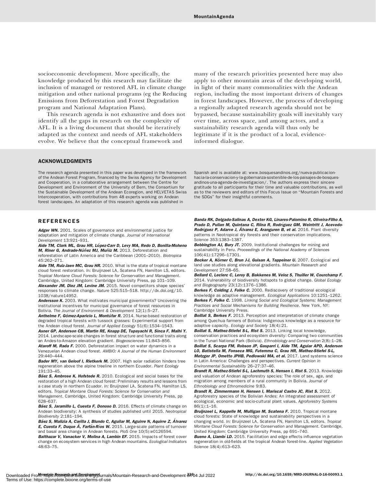socioeconomic development. More specifically, the knowledge produced by this research may facilitate the inclusion of managed or restored AFL in climate change mitigation and other national programs (eg the Reducing Emissions from Deforestation and Forest Degradation program and National Adaptation Plans).

This research agenda is not exhaustive and does not identify all the gaps in research on the complexity of AFL. It is a living document that should be iteratively adapted as the context and needs of AFL stakeholders evolve. We believe that the conceptual framework and

many of the research priorities presented here may also apply to other mountain areas of the developing world, in light of their many commonalities with the Andean region, including the most important drivers of changes in forest landscapes. However, the process of developing a regionally adapted research agenda should not be bypassed, because sustainability goals will inevitably vary over time, across space, and among actors, and a sustainability research agenda will thus only be legitimate if it is the product of a local, evidenceinformed dialogue.

## ACKNOWLEDGMENTS

The research agenda presented in this paper was developed in the framework of the Andean Forest Program, financed by the Swiss Agency for Development and Cooperation, in a collaborative arrangement between the Centre for Development and Environment of the University of Bern, the Consortium for the Sustainable Development of the Andean Ecoregion, and HELVETAS Swiss Intercooperation, with contributions from 48 experts working on Andean forest landscapes. An adaptation of this research agenda was published in

#### REFERENCES

Adger WN. 2001. Scales of governance and environmental justice for adaptation and mitigation of climate change. Journal of International Development 13:921–931.

Aide TM, Clark ML, Grau HR, López-Carr D, Levy MA, Redo D, Bonilla-Moheno M, Riner G, Andrade-Núñez MJ, Muñiz M. 2013. Deforestation and reforestation of Latin America and the Caribbean (2001–2010). Biotropica 45:262–271.

Aide TM, Ruiz-Jaen MC, Grau HR. 2010. What is the state of tropical montane cloud forest restoration. In: Bruijnzeel LA, Scatena FN, Hamilton LS, editors. Tropical Montane Cloud Forests: Science for Conservation and Management. Cambridge, United Kingdom: Cambridge University Press, pp 101–109. Alexander JM, Diez JM, Levine JM. 2015. Novel competitors shape species' responses to climate change. Nature 525:515–518. [http://dx.doi.org/10.](http://dx.doi.org/10.1038/nature14952) [1038/nature14952](http://dx.doi.org/10.1038/nature14952).

Andersson K. 2003. What motivates municipal governments? Uncovering the institutional incentives for municipal governance of forest resources in Bolivia. The Journal of Environment & Development 12(1):5–27.

Anthelme F, Gómez-Aparicio L, Montúfar R. 2014. Nurse-based restoration of degraded tropical forests with tussock grasses: Experimental support from the Andean cloud forest. Journal of Applied Ecology 51(6):1534–1543.

Asner GP, Anderson CB, Martin RE, Knapp DE, Tupayachi R, Sinca F, Malhi Y. 2014. Landscape-scale changes in forest structure and functional traits along an Andes-to-Amazon elevation gradient. Biogeosciences 11:843–856.

Ataroff M, Rada F. 2000. Deforestation impact on water dynamics in a Venezuelan Andean cloud forest. AMBIO: A Journal of the Human Environment 29:440–444.

Bader MY, van Geloof I, Rietkerk M. 2007. High solar radiation hinders tree regeneration above the alpine treeline in northern Ecuador. Plant Ecology 191:33–45.

Báez S, Ambrose K, Hofstede R. 2010. Ecological and social bases for the restoration of a high Andean cloud forest: Preliminary results and lessons from a case study in northern Ecuador. In: Bruijnzeel LA, Scatena FN, Hamilton LS, editors. Tropical Montane Cloud Forests: Science for Conservation and Management. Cambridge, United Kingdom: Cambridge University Press, pp 628–637.

Báez S, Jaramillo L, Cuesta F, Donoso D. 2016. Effects of climate change on Andean biodiversity: A synthesis of studies published until 2015. Neotropical Biodiversity 2:181–194.

Báez S, Malizia A, Carilla J, Blundo C, Aguilar M, Aguirre N, Aquirre Z, Álvarez E, Cuesta F, Duque Á, Farfán-Ríos W. 2015. Large-scale patterns of turnover and basal area change in Andean forests. PloS One 10(5):e0126594.

Balthazar V, Vanacker V, Molina A, Lambin EF. 2015. Impacts of forest cover change on ecosystem services in high Andean mountains. Ecological Indicators 48:63–75.

Spanish and is available at: [www.bosquesandinos.org/nueva-publicacion](http://www.bosquesandinos.org/nueva-publicacion-hacia-la-conservacion-y-la-gobernanza-sostenible-de-los-paisajes-de-bosques-andinos-una-agenda-de-investigacion/)[hacia-la-conservacion-y-la-gobernanza-sostenible-de-los-paisajes-de-bosques](http://www.bosquesandinos.org/nueva-publicacion-hacia-la-conservacion-y-la-gobernanza-sostenible-de-los-paisajes-de-bosques-andinos-una-agenda-de-investigacion/)[andinos-una-agenda-de-investigacion/.](http://www.bosquesandinos.org/nueva-publicacion-hacia-la-conservacion-y-la-gobernanza-sostenible-de-los-paisajes-de-bosques-andinos-una-agenda-de-investigacion/) The authors express their sincere gratitude to all participants for their time and valuable contributions, as well as to the reviewers and editors of this Focus Issue on ''Mountain Forests and the SDGs'' for their insightful comments.

Banda RK, Delgado-Salinas A, Dexter KG, Linares-Palomino R, Oliveira-Filho A, Prado D, Pullan M, Quintana C, Riina R, Rodríguez GM, Weintritt J, Acevedo-Rodríguez P, Adarve J, Álvarez E, Aranguren B, et al. 2016. Plant diversity patterns in Neotropical dry forests and their conservation implications. Science 353:1383–1387.

**Bebbington AJ, Bury JT.** 2009. Institutional challenges for mining and sustainability in Peru. Proceedings of the National Academy of Sciences 106(41):17296–17301.

Becker A, Körner C, Brun J-J, Guisan A, Tappeiner U. 2007. Ecological and land use studies along elevational gradients. Mountain Research and Development 27:58–65.

Bellard C, Leclerc C, Leroy B, Bakkenes M, Veloz S, Thuiller W, Courchamp F. 2014. Vulnerability of biodiversity hotspots to global change. Global Ecology and Biogeography 23(12):1376–1386.

**Berkes F. Colding J. Folke C.** 2000. Rediscovery of traditional ecological knowledge as adaptive management. Ecological Applications 10:1251–1262. Berkes F, Folke C. 1998. Linking Social and Ecological Systems: Management Practices and Social Mechanisms for Building Resilience. New York, NY: Cambridge University Press.

Boillat S, Berkes F. 2013. Perception and interpretation of climate change among Quechua farmers of Bolivia: Indigenous knowledge as a resource for adaptive capacity. Ecology and Society 18(4):21.

Boillat S, Mathez-Stiefel S-L, Rist S. 2013. Linking local knowledge, conservation practices and ecosystem diversity: Comparing two communities in the Tunari National Park (Bolivia). Ethnobiology and Conservation 2(8):1–28. Boillat S, Scarpa FM, Robson JP, Gasparri I, Aide TM, Aguiar APD, Anderson LO, Batistella M, Fonseca MG, Futemma C, Grau HR, Mathez-Stiefel S-L,

Metzger JP, Ometto JPHB, Pedlowski MA, et al. 2017. Land systems science in Latin America: Challenges and perspectives. Current Opinion in Environmental Sustainability 26–27:37–46.

Brandt R, Mathez-Stiefel S-L, Lachmuth S, Hensen I, Rist S. 2013. Knowledge and valuation of Andean agroforestry species: The role of sex, age, and migration among members of a rural community in Bolivia. Journal of Ethnobiology and Ethnomedicine 9:83.

Brandt R, Zimmermann H, Hensen I, Mariscal Castro JC, Rist S. 2012. Agroforestry species of the Bolivian Andes: An integrated assessment of ecological, economic and socio-cultural plant values. Agroforestry Systems 86(1):1–16.

Bruijnzeel L, Kappelle M, Mulligan M, Scatena F. 2010. Tropical montane cloud forests: State of knowledge and sustainability perspectives in a changing world. In: Bruijnzeel LA, Scatena FN, Hamilton LS, editors, Tropical Montane Cloud Forests: Science for Conservation and Management. Cambridge, United Kingdom: Cambridge University Press, pp 691–740.

Bueno A, Llambí LD. 2015. Facilitation and edge effects influence vegetation regeneration in old-fields at the tropical Andean forest-line. Applied Vegetation Science 18(4):613–623.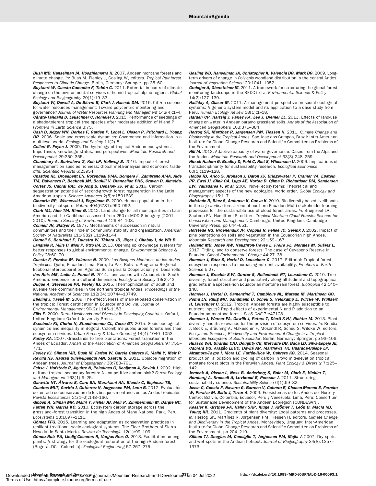Bush MB, Hanselman JA, Hooghiemstra H. 2007. Andean montane forests and climate change. In: Bush M, Flenley J, Gosling W, editors. Tropical Rainforest Responses to Climatic Change. Berlin, Germany: Springer, pp 35–60.

Buytaert W, Cuesta-Camacho F, Tobón C. 2011. Potential impacts of climate change on the environmental services of humid tropical alpine regions. Global Ecology and Biogeography 20(1):19–33.

Buytaert W, Dewulf A, De Bièvre B, Clark J, Hannah DM. 2016. Citizen science for water resources management: Toward polycentric monitoring and

governance? Journal of Water Resources Planning and Management 142(4):1–4. Cárate-Tandalla D, Leuschner C, Homeier J. 2015. Performance of seedlings of a shade-tolerant tropical tree species after moderate addition of N and P. Frontiers in Earth Science 3:75.

Cash D, Adger WN, Berkes F, Garden P, Lebel L, Olsson P, Pritchard L, Young OR. 2006. Scale and cross-scale dynamics: Governance and information in a multilevel world. Ecology and Society 11(2):8.

Celleri R, Feyen J. 2009. The hydrology of tropical Andean ecosystems: Importance, knowledge status, and perspectives. Mountain Research and Development 29:350–355.

Chaudhary A, Burivalova Z, Koh LP, Hellweg S. 2016. Impact of forest management on species richness: Global meta-analysis and economic tradeoffs. Scientific Reports 6:23954.

Chazdon RL, Broadbent EN, Rozendaal DMA, Bongers F, Zambrano AMA, Aide TM, Balvanera P, Becknell JM, Boukili V, Brancalion PHS, Craven D, Almeida-Cortez JS, Cabral GAL, de Jong B, Denslow JS, et al. 2016. Carbon

sequestration potential of second-growth forest regeneration in the Latin American tropics. Science Advances 2(5):e1501639.

Cincotta RP, Wisnewski J, Engelman R. 2000. Human population in the biodiversity hotspots. Nature 404(6781):990–992.

Clark ML, Aide TM, Riner G. 2012. Land change for all municipalities in Latin America and the Caribbean assessed from 250-m MODIS imagery (2001– 2010). Remote Sensing of Environment 126:84–103.

**Connell JH, Slatyer R.** 1977. Mechanisms of succession in natural communities and their role in community stability and organization. American Society of Naturalists 111(982):1119–1144.

Cornell S, Berkhout F, Tuinstra W, Tàbara JD, Jäger J, Chabay I, de Wit B, Langlais R, Mills D, Moll P, Otto IM. 2013. Opening up knowledge systems for better responses to global environmental change. Environmental Science & Policy 28:60–70.

Cuesta F, Peralvo M, Valarezo N. 2009. Los Bosques Montanos de los Andes Tropicales. Quito, Ecuador; Lima, Peru; La Paz, Bolivia: Programa Regional Ecobona-Intercooperation, Agencia Suiza para la Cooperación y el Desarrollo. dos Reis MS, Ladio A, Peroni N. 2014. Landscapes with Araucaria in South America: Evidence for a cultural dimension. Ecology and Society 19(2):43.

Duque A, Stevenson PR, Feeley KJ. 2015. Thermophilization of adult and juvenile tree communities in the northern tropical Andes. Proceedings of the National Academy of Sciences 112(34):10744–10749.

Ebeling J, Yasué M. 2009. The effectiveness of market-based conservation in the tropics: Forest certification in Ecuador and Bolivia. Journal of Environmental Management 90(2):1145–1153.

**Ellis F.** 2000. Rural Livelihoods and Diversity in Developing Countries. Oxford, United Kingdom: Oxford University Press.

Escobedo FJ, Clerici N, Staudhammer CL, Corzo GT. 2015. Socio-ecological dynamics and inequality in Bogotá, Colombia's public urban forests and their ecosystem services. Urban Forestry & Urban Greening 14(4):1040–1053.

Farley KA. 2007. Grasslands to tree plantations: Forest transition in the Andes of Ecuador. Annals of the Association of American Geographers 97:755– 771.

Feeley KJ, Silman MR, Bush M, Farfan W, Garcia Cabrera K, Malhi Y, Meir P, Revilla NS, Raurau Quisiyupanqui MN, Saatchi S. 2011. Upslope migration of Andean trees. Journal of Biogeography 38:783–791.

Fehse J. Hofstede R. Aguirre N. Paladines C. Kooiiman A. Sevink J. 2002. High altitude tropical secondary forests: A competitive carbon sink? Forest Ecology and Management 163(1):9-25.

Garavito NT, Álvarez E, Caro SA, Murakami AA, Blundo C, Espinoza TB, Cuadros MLT, Gaviria J, Gutíerrez N, Jørgensen PM, León B. 2012. Evaluación del estado de conservación de los bosques montanos en los Andes tropicales. Revista Ecosistemas 21(1–2):148–166.

Gibbon A, Silman MR, Malhi Y, Fisher JB, Meir P, Zimmermann M, Dargie GC, Farfan WR, Garcia KC. 2010. Ecosystem carbon storage across the grassland–forest transition in the high Andes of Manu National Park, Peru. Ecosystems 13:1097–1111.

Gómez FFG. 2015. Learning and adaptation as conservation practices in resilient traditional socio-ecological systems: The Elder Brothers of Sierra Nevada de Santa Marta. Revista de Tecnología 12(1):99-109.

Gómez-Ruiz PA, Lindig-Cisneros R, Vargas-Ríos O. 2013. Facilitation among plants: A strategy for the ecological restoration of the high-Andean forest (Bogotá, DC-Colombia). Ecological Engineering 57:267-275.

Gosling WD, Hanselman JA, Christopher K, Valencia BG, Mark BG. 2009. Longterm drivers of change in Polylepis woodland distribution in the central Andes. Journal of Vegetation Science 20:1041–1052.

Grainger A, Obersteiner M. 2011. A framework for structuring the global forest monitoring landscape in the REDD+ era. Environmental Science & Policy 14(2):127–139.

Halliday A, Glaser M. 2011. A management perspective on social ecological systems: A generic system model and its application to a case study from Peru. Human Ecology Review 18(1):1-18.

Harden CP, Hartsig J, Farley KA, Lee J, Bremer LL. 2013. Effects of land-use change on water in Andean paramo grassland soils. Annals of the Association of American Geographers 103:375–384.

Herzog SK, Martínez R, Jørgensen PM, Tiessen H. 2011. Climate Change and Biodiversity in the Tropical Andes. Sao José dos Campos, Brazil: Inter-American Institute for Global Change Research and Scientific Committee on Problems of the Environment.

Hill M. 2013. Adaptive capacity of water governance: Cases from the Alps and the Andes. Mountain Research and Development 33(3):248–259.

Hirsch Hadorn G, Bradley D, Pohl C, Rist S, Wiesmann U. 2006. Implications of transdisciplinarity for sustainability research. Ecological Economics 60(1):119–128.

Hobbs RJ, Arico S, Aronson J, Baron JS, Bridgewater P, Cramer VA, Epstein PR, Ewel JJ, Klink CA, Lugo AE, Norton D, Ojima D, Richardson DM, Sanderson EW, Valladares F, et al. 2006. Novel ecosystems: Theoretical and

management aspects of the new ecological world order. Global Ecology and Biogeography 15:1–7.

Hofstede R, Báez S, Ambrose K, Cueva K. 2010. Biodiversity-based livelihoods in the ceja andina forest zone of northern Ecuador: Multi-stakeholder learning processes for the sustainable use of cloud forest areas. In: Bruijnzeel LA, .<br>Scatena FN, Hamilton LS, editors. Tropical Montane Cloud Forests: Science for Conservation and Management. Cambridge, United Kingdom: Cambridge University Press, pp 644–651.

Hofstede RG, Groenendijk JP, Coppus R, Fehse JC, Sevink J. 2002. Impact of pine plantations on soils and vegetation in the Ecuadorian high Andes. Mountain Research and Development 22:159–167.

Holland MB, Jones KW, Naughton-Treves L, Freire J-L, Morales M, Suárez L. 2017. Titling land to conserve forests: The case of Cuyabeno Reserve in Ecuador. Global Environmental Change 44:27–38.

Homeier J, Báez S, Hertel D, Leuschner C. 2017. Editorial: Tropical forest ecosystem responses to increasing nutrient availability. Frontiers in Earth Science 5:27.

Homeier J, Breckle S-W, Günter S, Rollenbeck RT, Leuschner C. 2010. Tree diversity, forest structure and productivity along altitudinal and topographical gradients in a species-rich Ecuadorian montane rain forest. Biotropica 42:140– 148.

Homeier J, Hertel D, Camenzind T, Cumbicus NL, Maraun M, Martinson GO, Poma LN, Rillig MC, Sandmann D, Scheu S, Veldkamp E, Wilcke W, Wullaert H, Leuschner C. 2012. Tropical Andean forests are highly susceptible to nutrient inputs? Rapid effects of experimental N and P addition to an Ecuadorian montane forest. PLoS ONE 7:e47128.

Homeier J, Werner FA, Gawlik J, Peters T, Diertl K-HJ, Richter M. 2013. Plant diversity and its relevance for the provision of ecosystem services. In: Bendix J, Beck E, Bräuning A, Makeschin F, Mosandl R, Scheu S, Wilcke W, editors. Ecosystem Services, Biodiversity and Environmental Change in a Tropical

Mountain Ecosystem of South Ecuador. Berlin, Germany: Springer, pp 93–106. Huasco WH, Girardin CAJ, Doughty CE, Metcalfe DB, Baca LD, Silva-Espejo JE, Cabrera DG, Aragão LEOC, Davila AR, Marthews TR, Huaraca-Quispe LP, Alzamora-Taype I, Mora LE, Farfán-Rios W, Cabrera KG. 2014. Seasonal production, allocation and cycling of carbon in two mid-elevation tropical montane forest plots in the Peruvian Andes. Plant Ecology & Diversity 7:125-142.

Jerneck A, Olsson L, Ness B, Anderberg S, Baier M, Clark E, Hickler T, Hornborg A, Kronsell A, Lövbrand E, Persson J. 2011. Structuring sustainability science. Sustainability Science 6(1):69-82.

Josse C, Cuesta F, Navarro G, Barrena V, Cabrera E, Chacon-Moreno E, Ferreira W, Peralvo M, Saito J, Tovar A. 2009. Ecosistemas de los Andes del Norte y Centro: Bolivia, Colombia, Ecuador, Peru y Venezuela. Lima, Peru: Consortium for Sustainable Development of the Andean Ecoregion (CONDESAN).

Kessler K, Grytnes J-A, Halloy SRP, Kluge J, Krömer T, León B, Macía MJ, Young KR. 2011. Gradients of plant diversity: Local patterns and processes. In: Herzog SK, Martínez R, Jørgensen PM, Tiessen H, editors. Climate Change and Biodiversity in the Tropical Andes. Montevideo, Uruguay: Inter-American Institute for Global Change Research and Scientific Committee on Problems of the Environment, pp 204–219.

Killeen TJ, Douglas M, Consiglio T, Jørgensen PM, Mejia J. 2007. Dry spots and wet spots in the Andean hotspot. Journal of Biogeography 34(8):1357-1373.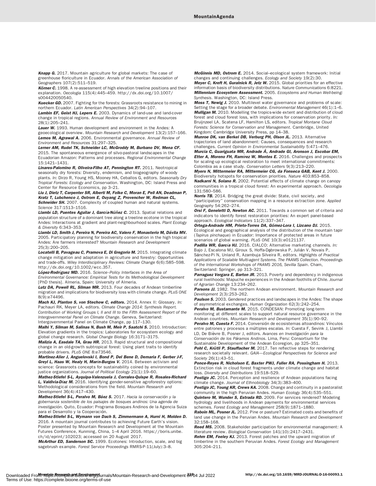Knapp G. 2017. Mountain agriculture for global markets: The case of greenhouse floriculture in Ecuador. Annals of the American Association of Geographers 107(2):511–519.

Körner C. 1998. A re-assessment of high elevation treeline positions and their explanation. Oecologia 115(4):445–459. [http://dx.doi.org/10.1007/](http://dx.doi.org/10.1007/s004420050540) [s004420050540](http://dx.doi.org/10.1007/s004420050540).

Kuecker GD. 2007. Fighting for the forests: Grassroots resistance to mining in northern Ecuador. Latin American Perspectives 34(2):94–107.

Lambin EF, Geist HJ, Lepers E. 2003. Dynamics of land-use and land-cover change in tropical regions. Annual Review of Environment and Resources 28(1):205–241.

Lauer W. 1993. Human development and environment in the Andes: A geoecological overview. Mountain Research and Development 13(2):157–166. Lemos M, Agrawal A. 2006. Environmental governance. Annual Review of Environment and Resources 31:297–325.

Lerner AM, Rudel TK, Schneider LC, McGroddy M, Burbano DV, Mena CF. 2015. The spontaneous emergence of silvo-pastoral landscapes in the Ecuadorian Amazon: Patterns and processes. Regional Environmental Change 15:1421–1431.

Linares-Palomino R, Oliveira-Filho AT, Pennington RT. 2011. Neotropical seasonally dry forests: Diversity, endemism, and biogeography of woody plants. In: Dirzo R, Young HS, Mooney HA, Ceballos G, editors. Seasonally Dry Tropical Forests: Ecology and Conservation. Washington, DC: Island Press and Center for Resource Economics, pp 3–21.

Liu J, Dietz T, Carpenter SR, Alberti M, Folke C, Moran E, Pell AN, Deadman P, Kratz T, Lubchenco J, Ostrom E, Ouyang Z, Provencher W, Redman CL, **Schneider SH.** 2007. Complexity of coupled human and natural systems. Science 317:1513–1516.

Llambí LD, Puentes Aguilar J, García-Núñez C. 2013. Spatial relations and population structure of a dominant tree along a treeline ecotone in the tropical Andes: Interactions at gradient and plant-neighbourhood scales. Plant Ecology & Diversity 6:343–353.

Llambí LD, Smith J, Pereira N, Pereira AC, Valero F, Monasterio M, Dávila MV. 2005. Participatory planning for biodiversity conservation in the high tropical Andes: Are farmers interested? Mountain Research and Development 25(3):200–205.

Locatelli B, Pavageau C, Pramova E, Di Gregorio M. 2015. Integrating climate change mitigation and adaptation in agriculture and forestry: Opportunities and trade-offs. Wiley Interdisciplinary Reviews: Climate Change 6(6):585–598. <http://dx.doi.org/10.1002/wcc.357>.

López-Rodríguez MD. 2016. Science-Policy Interfaces in the Area of Environmental Governance: Empirical Tests for its Methodological Development [PhD thesis]. Almeria, Spain: University of Almeria.

Lutz DA, Powell RL, Silman MR. 2013. Four decades of Andean timberline migration and implications for biodiversity loss with climate change. PLoS ONE 8(9):e74496.

Mach KJ, Planton S, von Stechow C, editors. 2014. Annex II: Glossary. In: Pachauri RK, Meyer LA, editors. Climate Change 2014: Synthesis Report. Contribution of Working Groups I, II and III to the Fifth Assessment Report of the Intergovernmental Panel on Climate Change. Geneva, Switzerland: Intergovernmental Panel on Climate Change, pp 117–130.

Malhi Y, Silman M, Salinas N, Bush M, Meir P, Saatchi S. 2010. Introduction: Elevation gradients in the tropics: Laboratories for ecosystem ecology and global change research. Global Change Biology 16:3171–3175.

Malizia A, Easdale TA, Grau HR. 2013. Rapid structural and compositional change in an old-growth subtropical forest: Using plant traits to identify probable drivers. PLoS ONE 8:e73546.

Martinez-Alier J, Anguelovski I, Bond P, Del Bene D, Demaria F, Gerber J-F, Greyl L, Haas W, Healy H, Marín-Burgos V. 2014. Between activism and science: Grassroots concepts for sustainability coined by environmental justice organizations. Journal of Political Ecology 21(1):19-60. Mathez-Stiefel S-L, Ayquipa-Valenzuela J, Corrales-Quispe R, Rosales-Richard

L, Valdivia-Díaz M. 2016. Identifying gender-sensitive agroforestry options: Methodological considerations from the field. Mountain Research and Development 36(4):417–430.

Mathez-Stiefel S-L, Peralvo M, Báez S. 2017. Hacia la conservación y la gobernanza sostenible de los paisajes de bosques andinos: Una agenda de investigación. Quito, Ecuador: Programa Bosques Andinos de la Agencia Suiza para el Desarrollo y la Cooperación.

Mathez-Stiefel S-L, Wymann von Dach S, Zimmermann A, Hurni H, Molden D. 2016. A mountain journal contributes to achieving Future Earth's vision. Poster presented by Mountain Research and Development at the Mountain Futures Conference, Kunming, China, 1–4 April 2016. [https://boris.unibe.](https://boris.unibe.ch/id/eprint/102023) [ch/id/eprint/102023](https://boris.unibe.ch/id/eprint/102023); accessed on 20 August 2017.

McArthur ED, Sanderson SC. 1999. Ecotones: Introduction, scale, and big sagebrush example. Forest Service Proceedings RMRS-P-11(July):3–8.

McGinnis MD, Ostrom E. 2014. Social–ecological system framework: Initial changes and continuing challenges. Ecology and Society 19(2):30.

Meyer C, Kreft H, Guralnick R, Jetz W. 2015. Global priorities for an effective information basis of biodiversity distributions. Nature Communications 6:8221. Millennium Ecosystem Assessment. 2005. Ecosystems and Human Well-being: Synthesis. Washington, DC: Island Press.

Moss T, Newig J. 2010. Multilevel water governance and problems of scale: Setting the stage for a broader debate. Environmental Management 46(1):1-6. **Mulligan M.** 2010. Modelling the tropics-wide extent and distribution of cloud forest and cloud forest loss, with implications for conservation priority. In: Bruijnzeel LA, Scatena LF, Hamilton LS, editors. Tropical Montane Cloud Forests: Science for Conservation and Management. Cambridge, United Kingdom: Cambridge University Press, pp 14–38.

Munroe DK, van Berkel DB, Verburg PH, Olson JL. 2013. Alternative trajectories of land abandonment: Causes, consequences and research challenges. Current Opinion in Environmental Sustainability 5:471–476. Murcia C, Guariguata MR, Andrade Á, Andrade GI, Aronson J, Escobar EM,

Etter A, Moreno FH, Ramírez W, Montes E. 2016. Challenges and prospects for scaling-up ecological restoration to meet international commitments: Colombia as a case study. Conservation Letters 9(3):213–220.

Myers N, Mittermeier RA, Mittermeier CG, da Fonseca GAB, Kent J. 2000. Biodiversity hotspots for conservation priorities. Nature 403:853–858. Nadkarni N, Solano R. 2002. Potential effects of climate change on canopy communities in a tropical cloud forest: An experimental approach. Oecologia 131:580–586.

Norris TB. 2014. Bridging the great divide: State, civil society, and "participatory" conservation mapping in a resource extraction zone. Applied Geography 54:262–274.

Orsi F, Geneletti D, Newton AC. 2011. Towards a common set of criteria and indicators to identify forest restoration priorities: An expert panel-based approach. Ecological Indicators 11(2):337–347.

Ortega-Andrade HM, Prieto-Torres DA, Gómez-Lora I, Lizcano DJ. 2015. Ecological and geographical analysis of the distribution of the mountain tapir (Tapirus pinchaque) in Ecuador: Importance of protected areas in future scenarios of global warming. PLoS ONE 10(3):e0121137.

Padilla WR, García HJ. 2016. CIALCO: Alternative marketing channels. In: Bajo J, Escalona MJ, Giroux S, Hoffa-Dąbrowska P, Julián V, Novais P, Sánchez-Pi N, Unland R, Azambuja Silveira R, editors. Highlights of Practical Applications of Scalable Multi-agent Systems. The PAAMS Collection. Proceedings of the International Workshops of PAAMS 2016, Sevilla Spain. Cham, Switzerland: Springer, pp 313–321.

Parraguez Vergara E, Barton JR. 2013. Poverty and dependency in indigenous rural livelihoods: Mapuche experiences in the Andean foothills of Chile. Journal of Agrarian Change 13:234–262.

Parsons JJ. 1982. The northern Andean environment. Mountain Research and Development 2(3):253–262.

Paulson S. 2003. Gendered practices and landscapes in the Andes: The shape of asymmetrical exchanges. Human Organization 62(3):242–254.

Peralvo M, Bustamante M. 2015. CONDESAN: Promoting long-term monitoring at different scales to support natural resource governance in the Andean countries. Mountain Research and Development 35(1):90–92.

Peralvo M, Cuesta F. 2014. Conversión de ecosistemas altoandinos: Vínculos entre patrones y procesos a múltiples escalas. In: Cuesta F, Sevink J, Llambí LD, De Bièvre B, Posner J, editors. Avances en Investigación para la

Conservación de los Páramos Andinos. Lima, Peru: Consortium for the Sustainable Development of the Andean Ecoregion, pp 325–351. Pohl C, Krütli P, Stauffacher M. 2017. Ten reflective steps for rendering

research societally relevant. GAIA—Ecological Perspectives for Science and Society 26(1):43-51.

Ponce-Reyes R, Nicholson E, Baxter PWJ, Fuller RA, Possingham H. 2013. Extinction risk in cloud forest fragments under climate change and habitat loss. Diversity and Distributions 19:518–529.

Postigo JC. 2014. Perception and resilience of Andean populations facing climate change. Journal of Ethnobiology 34(3):383–400.

Postigo JC, Young KR, Crews KA. 2008. Change and continuity in a pastoralist community in the high Peruvian Andes. Human Ecology 36(4):535–551.

Quintero M, Wunder S, Estrada RD. 2009. For services rendered? Modeling hydrology and livelihoods in Andean payments for environmental services schemes. Forest Ecology and Management 258(9):1871–1880.

Raboin ML, Posner JL. 2012. Pine or pasture? Estimated costs and benefits of land use change in the Peruvian Andes. Mountain Research and Development 32:158–168.

Reed MS. 2008. Stakeholder participation for environmental management: A literature review. Biological Conservation 141(10):2417–2431.

Rehm EM, Feeley KJ. 2013. Forest patches and the upward migration of timberline in the southern Peruvian Andes. Forest Ecology and Management 305:204–211.